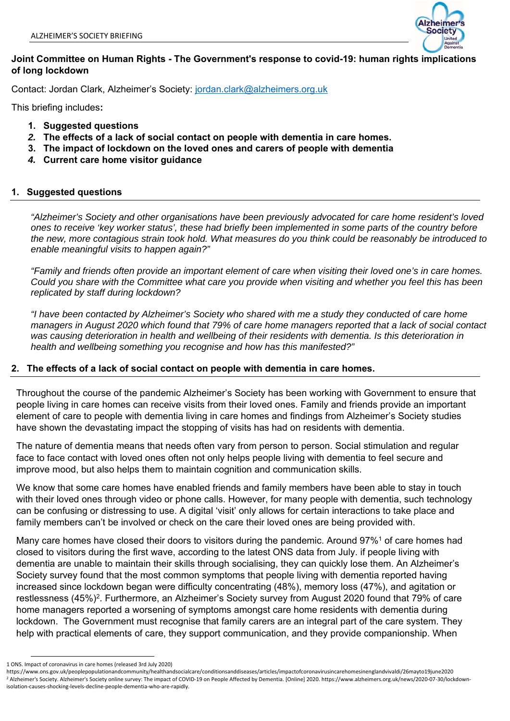

## **Joint Committee on Human Rights - The Government's response to covid-19: human rights implications of long lockdown**

Contact: Jordan Clark, Alzheimer's Society: jordan.clark@alzheimers.org.uk

This briefing includes**:** 

- **1. Suggested questions**
- *2.* **The effects of a lack of social contact on people with dementia in care homes.**
- **3. The impact of lockdown on the loved ones and carers of people with dementia**
- *4.* **Current care home visitor guidance**

## **1. Suggested questions**

*"Alzheimer's Society and other organisations have been previously advocated for care home resident's loved ones to receive 'key worker status', these had briefly been implemented in some parts of the country before the new, more contagious strain took hold. What measures do you think could be reasonably be introduced to enable meaningful visits to happen again?"* 

*"Family and friends often provide an important element of care when visiting their loved one's in care homes. Could you share with the Committee what care you provide when visiting and whether you feel this has been replicated by staff during lockdown?* 

*"I have been contacted by Alzheimer's Society who shared with me a study they conducted of care home managers in August 2020 which found that 79% of care home managers reported that a lack of social contact was causing deterioration in health and wellbeing of their residents with dementia. Is this deterioration in health and wellbeing something you recognise and how has this manifested?"* 

### **2. The effects of a lack of social contact on people with dementia in care homes.**

Throughout the course of the pandemic Alzheimer's Society has been working with Government to ensure that people living in care homes can receive visits from their loved ones. Family and friends provide an important element of care to people with dementia living in care homes and findings from Alzheimer's Society studies have shown the devastating impact the stopping of visits has had on residents with dementia.

The nature of dementia means that needs often vary from person to person. Social stimulation and regular face to face contact with loved ones often not only helps people living with dementia to feel secure and improve mood, but also helps them to maintain cognition and communication skills.

We know that some care homes have enabled friends and family members have been able to stay in touch with their loved ones through video or phone calls. However, for many people with dementia, such technology can be confusing or distressing to use. A digital 'visit' only allows for certain interactions to take place and family members can't be involved or check on the care their loved ones are being provided with.

Many care homes have closed their doors to visitors during the pandemic. Around 97%1 of care homes had closed to visitors during the first wave, according to the latest ONS data from July. if people living with dementia are unable to maintain their skills through socialising, they can quickly lose them. An Alzheimer's Society survey found that the most common symptoms that people living with dementia reported having increased since lockdown began were difficulty concentrating (48%), memory loss (47%), and agitation or restlessness (45%)<sup>2</sup>. Furthermore, an Alzheimer's Society survey from August 2020 found that 79% of care home managers reported a worsening of symptoms amongst care home residents with dementia during lockdown. The Government must recognise that family carers are an integral part of the care system. They help with practical elements of care, they support communication, and they provide companionship. When

<sup>1</sup> ONS. Impact of coronavirus in care homes (released 3rd July 2020)

https://www.ons.gov.uk/peoplepopulationandcommunity/healthandsocialcare/conditionsanddiseases/articles/impactofcoronavirusincarehomesinenglandvivaldi/26mayto19june2020 2 Alzheimer's Society. Alzheimer's Society online survey: The impact of COVID‐19 on People Affected by Dementia. [Online] 2020. https://www.alzheimers.org.uk/news/2020‐07‐30/lockdown‐ isolation‐causes‐shocking‐levels‐decline‐people‐dementia‐who‐are‐rapidly.